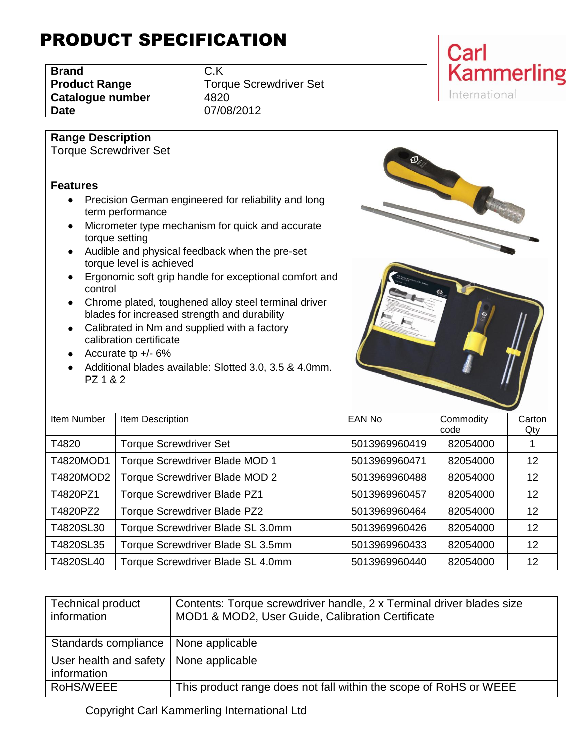## PRODUCT SPECIFICATION

| <b>Brand</b>         | C.K |
|----------------------|-----|
| <b>Product Range</b> | Tor |
| Catalogue number     | 482 |
| <b>Date</b>          | 07/ |

**Range Description**

**Torque Screwdriver Set Catalogue number** 4820 **Date** 07/08/2012



## Torque Screwdriver Set **Features** • Precision German engineered for reliability and long term performance • Micrometer type mechanism for quick and accurate torque setting Audible and physical feedback when the pre-set torque level is achieved **Ergonomic soft grip handle for exceptional comfort and** control • Chrome plated, toughened alloy steel terminal driver blades for increased strength and durability • Calibrated in Nm and supplied with a factory calibration certificate • Accurate tp  $+/- 6\%$ Additional blades available: Slotted 3.0, 3.5 & 4.0mm. PZ 1 & 2

| Item Number | Item Description                    | EAN No        | Commodity<br>code | Carton |
|-------------|-------------------------------------|---------------|-------------------|--------|
|             |                                     |               |                   | Qty    |
| T4820       | <b>Torque Screwdriver Set</b>       | 5013969960419 | 82054000          |        |
| T4820MOD1   | Torque Screwdriver Blade MOD 1      | 5013969960471 | 82054000          | 12     |
| T4820MOD2   | Torque Screwdriver Blade MOD 2      | 5013969960488 | 82054000          | 12     |
| T4820PZ1    | <b>Torque Screwdriver Blade PZ1</b> | 5013969960457 | 82054000          | 12     |
| T4820PZ2    | <b>Torque Screwdriver Blade PZ2</b> | 5013969960464 | 82054000          | 12     |
| T4820SL30   | Torque Screwdriver Blade SL 3.0mm   | 5013969960426 | 82054000          | 12     |
| T4820SL35   | Torque Screwdriver Blade SL 3.5mm   | 5013969960433 | 82054000          | 12     |
| T4820SL40   | Torque Screwdriver Blade SL 4.0mm   | 5013969960440 | 82054000          | 12     |

| <b>Technical product</b><br>information | Contents: Torque screwdriver handle, 2 x Terminal driver blades size<br>MOD1 & MOD2, User Guide, Calibration Certificate |
|-----------------------------------------|--------------------------------------------------------------------------------------------------------------------------|
| Standards compliance                    | None applicable                                                                                                          |
| User health and safety<br>information   | None applicable                                                                                                          |
| RoHS/WEEE                               | This product range does not fall within the scope of RoHS or WEEE                                                        |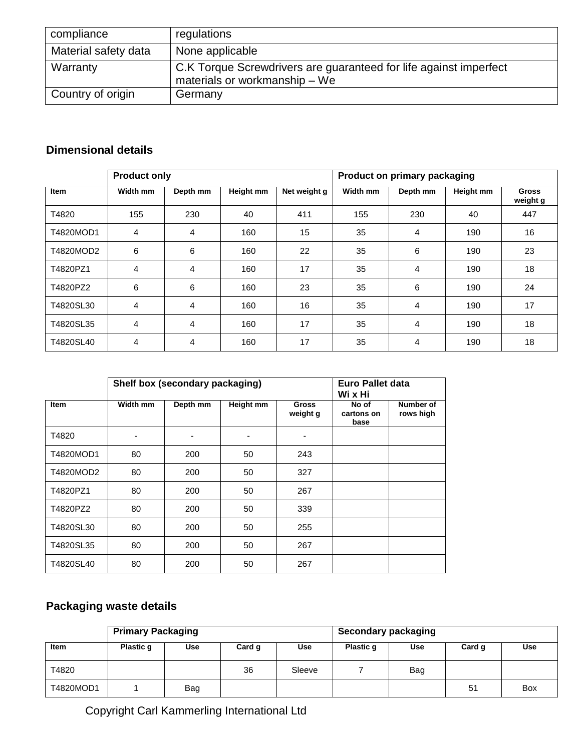| compliance           | regulations                                                                                        |
|----------------------|----------------------------------------------------------------------------------------------------|
| Material safety data | None applicable                                                                                    |
| Warranty             | C.K Torque Screwdrivers are guaranteed for life against imperfect<br>materials or workmanship - We |
| Country of origin    | Germany                                                                                            |

## **Dimensional details**

|             | <b>Product only</b> |          | Product on primary packaging |              |          |          |           |                          |
|-------------|---------------------|----------|------------------------------|--------------|----------|----------|-----------|--------------------------|
| <b>Item</b> | Width mm            | Depth mm | Height mm                    | Net weight g | Width mm | Depth mm | Height mm | <b>Gross</b><br>weight g |
| T4820       | 155                 | 230      | 40                           | 411          | 155      | 230      | 40        | 447                      |
| T4820MOD1   | 4                   | 4        | 160                          | 15           | 35       | 4        | 190       | 16                       |
| T4820MOD2   | 6                   | 6        | 160                          | 22           | 35       | 6        | 190       | 23                       |
| T4820PZ1    | 4                   | 4        | 160                          | 17           | 35       | 4        | 190       | 18                       |
| T4820PZ2    | 6                   | 6        | 160                          | 23           | 35       | 6        | 190       | 24                       |
| T4820SL30   | 4                   | 4        | 160                          | 16           | 35       | 4        | 190       | 17                       |
| T4820SL35   | 4                   | 4        | 160                          | 17           | 35       | 4        | 190       | 18                       |
| T4820SL40   | 4                   | 4        | 160                          | 17           | 35       | 4        | 190       | 18                       |

|             |          | Shelf box (secondary packaging) | Euro Pallet data<br>Wi x Hi |                          |                             |                        |
|-------------|----------|---------------------------------|-----------------------------|--------------------------|-----------------------------|------------------------|
| <b>Item</b> | Width mm | Depth mm                        | Height mm                   | <b>Gross</b><br>weight g | No of<br>cartons on<br>base | Number of<br>rows high |
| T4820       |          |                                 |                             |                          |                             |                        |
| T4820MOD1   | 80       | 200                             | 50                          | 243                      |                             |                        |
| T4820MOD2   | 80       | 200                             | 50                          | 327                      |                             |                        |
| T4820PZ1    | 80       | 200                             | 50                          | 267                      |                             |                        |
| T4820PZ2    | 80       | 200                             | 50                          | 339                      |                             |                        |
| T4820SL30   | 80       | 200                             | 50                          | 255                      |                             |                        |
| T4820SL35   | 80       | 200                             | 50                          | 267                      |                             |                        |
| T4820SL40   | 80       | 200                             | 50                          | 267                      |                             |                        |

## **Packaging waste details**

|           | <b>Primary Packaging</b> |     |        |        |           | Secondary packaging |        |     |
|-----------|--------------------------|-----|--------|--------|-----------|---------------------|--------|-----|
| Item      | Plastic q                | Use | Card g | Use    | Plastic q | <b>Use</b>          | Card q | Use |
| T4820     |                          |     | 36     | Sleeve |           | Bag                 |        |     |
| T4820MOD1 |                          | Bag |        |        |           |                     | 51     | Box |

Copyright Carl Kammerling International Ltd